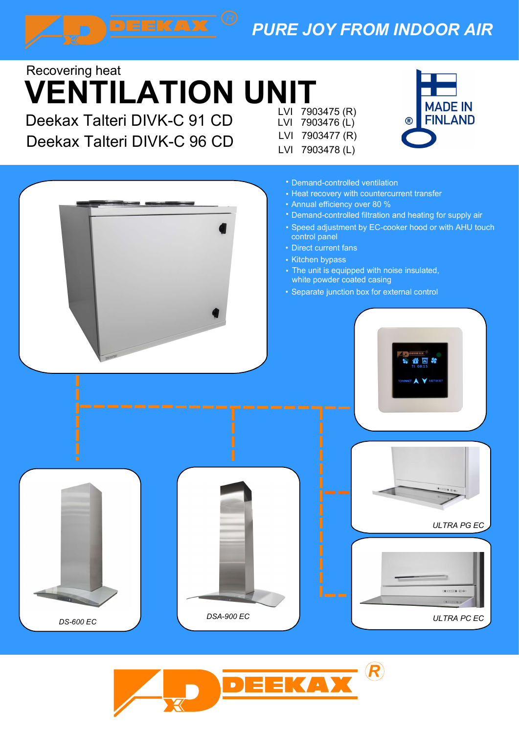# PURE JOY FROM INDOOR AIR

# VENTILATION UNIT Recovering heat

Deekax Talteri DIVK-C 96 CD  $\bigcup_{1 \leq l \leq 7903477(R) }$ 

LVI 7903475 (R)<br>LVI 7903476 (L) (BINLAND LVI 7903476 (L) LVI 7903478 (L)